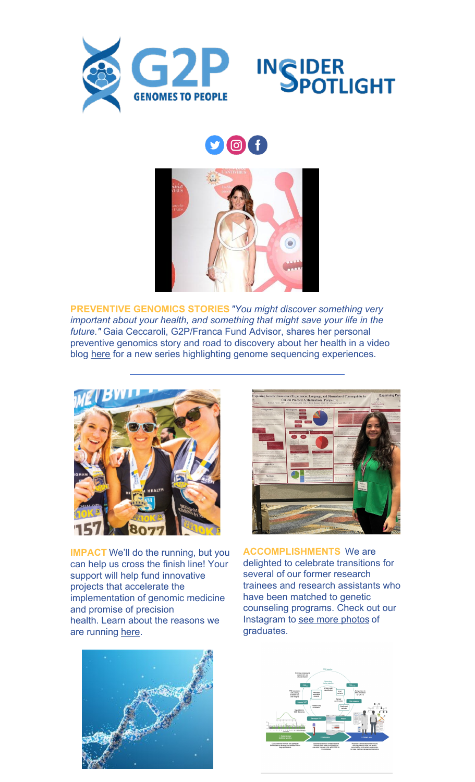



## Of



**PREVENTIVE GENOMICS STORIES***"You might discover something very important about your health, and something that might save your life in the future."* Gaia Ceccaroli, G2P/Franca Fund Advisor, shares her personal preventive genomics story and road to discovery about her health in a video blog [here](https://youtu.be/W3IU48TYpec) for a new series highlighting genome sequencing experiences.



**IMPACT** We'll do the running, but you can help us cross the finish line! Your support will help fund innovative projects that accelerate the implementation of genomic medicine and promise of precision health. Learn about the reasons we are running [here](https://events.brighamandwomens.org/site/TR/10k/BAA_10k22?team_id=1421&pg=team&fr_id=1190).



**ACCOMPLISHMENTS** We are delighted to celebrate transitions for several of our former research trainees and research assistants who have been matched to genetic counseling programs. Check out our Instagram to see more [photos](https://www.instagram.com/p/CdVzHelM-3e/?utm_source=ig_web_copy_link) of graduates.